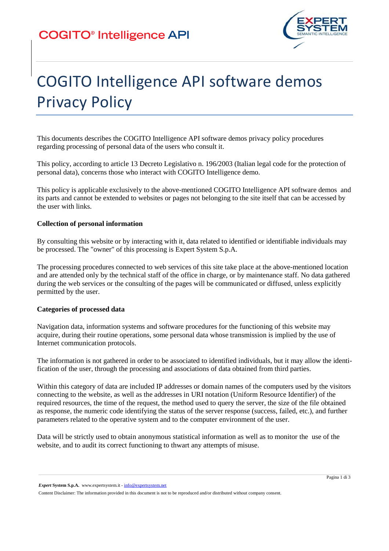

# COGITO Intelligence API software demos Privacy Policy

This documents describes the COGITO Intelligence API software demos privacy policy procedures regarding processing of personal data of the users who consult it.

This policy, according to article 13 Decreto Legislativo n. 196/2003 (Italian legal code for the protection of personal data), concerns those who interact with COGITO Intelligence demo.

This policy is applicable exclusively to the above-mentioned COGITO Intelligence API software demos and its parts and cannot be extended to websites or pages not belonging to the site itself that can be accessed by the user with links.

### **Collection of personal information**

By consulting this website or by interacting with it, data related to identified or identifiable individuals may be processed. The "owner" of this processing is Expert System S.p.A.

The processing procedures connected to web services of this site take place at the above-mentioned location and are attended only by the technical staff of the office in charge, or by maintenance staff. No data gathered during the web services or the consulting of the pages will be communicated or diffused, unless explicitly permitted by the user.

#### **Categories of processed data**

Navigation data, information systems and software procedures for the functioning of this website may acquire, during their routine operations, some personal data whose transmission is implied by the use of Internet communication protocols.

The information is not gathered in order to be associated to identified individuals, but it may allow the identification of the user, through the processing and associations of data obtained from third parties.

Within this category of data are included IP addresses or domain names of the computers used by the visitors connecting to the website, as well as the addresses in URI notation (Uniform Resource Identifier) of the required resources, the time of the request, the method used to query the server, the size of the file obtained as response, the numeric code identifying the status of the server response (success, failed, etc.), and further parameters related to the operative system and to the computer environment of the user.

Data will be strictly used to obtain anonymous statistical information as well as to monitor the use of the website, and to audit its correct functioning to thwart any attempts of misuse.

*Expert* **System S.p.A.** www.expertsystem.it - info@expertsystem.net

Content Disclaimer: The information provided in this document is not to be reproduced and/or distributed without company consent.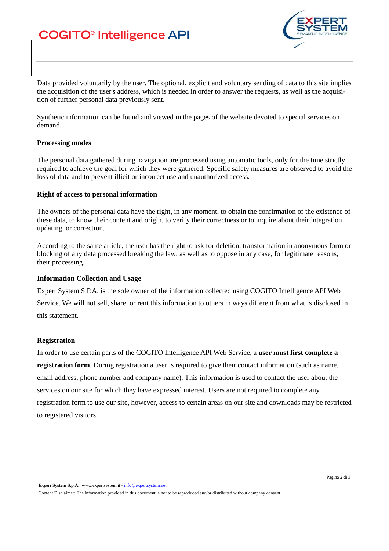# **COGITO®** Intelligence API



Data provided voluntarily by the user. The optional, explicit and voluntary sending of data to this site implies the acquisition of the user's address, which is needed in order to answer the requests, as well as the acquisition of further personal data previously sent.

Synthetic information can be found and viewed in the pages of the website devoted to special services on demand.

#### **Processing modes**

The personal data gathered during navigation are processed using automatic tools, only for the time strictly required to achieve the goal for which they were gathered. Specific safety measures are observed to avoid the loss of data and to prevent illicit or incorrect use and unauthorized access.

#### **Right of access to personal information**

The owners of the personal data have the right, in any moment, to obtain the confirmation of the existence of these data, to know their content and origin, to verify their correctness or to inquire about their integration, updating, or correction.

According to the same article, the user has the right to ask for deletion, transformation in anonymous form or blocking of any data processed breaking the law, as well as to oppose in any case, for legitimate reasons, their processing.

#### **Information Collection and Usage**

Expert System S.P.A. is the sole owner of the information collected using COGITO Intelligence API Web

Service. We will not sell, share, or rent this information to others in ways different from what is disclosed in this statement.

### **Registration**

In order to use certain parts of the COGITO Intelligence API Web Service, a **user must first complete a registration form**. During registration a user is required to give their contact information (such as name, email address, phone number and company name). This information is used to contact the user about the services on our site for which they have expressed interest. Users are not required to complete any registration form to use our site, however, access to certain areas on our site and downloads may be restricted to registered visitors.

*Expert* **System S.p.A.** www.expertsystem.it - info@expertsystem.net

Content Disclaimer: The information provided in this document is not to be reproduced and/or distributed without company consent.